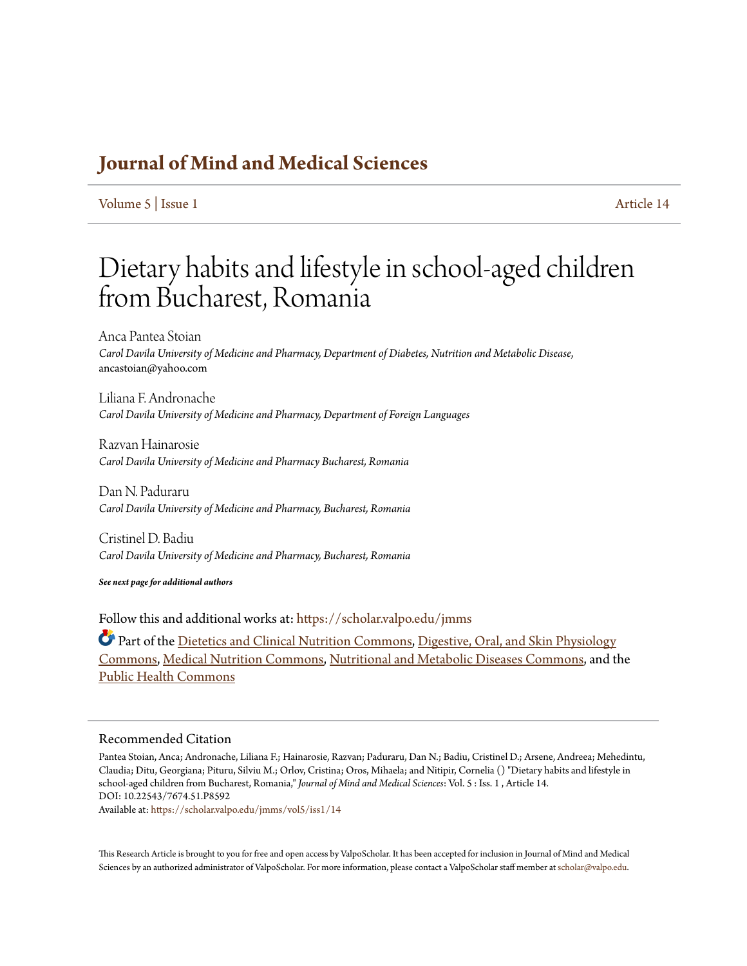## **[Journal of Mind and Medical Sciences](https://scholar.valpo.edu/jmms?utm_source=scholar.valpo.edu%2Fjmms%2Fvol5%2Fiss1%2F14&utm_medium=PDF&utm_campaign=PDFCoverPages)**

[Volume 5](https://scholar.valpo.edu/jmms/vol5?utm_source=scholar.valpo.edu%2Fjmms%2Fvol5%2Fiss1%2F14&utm_medium=PDF&utm_campaign=PDFCoverPages) | [Issue 1](https://scholar.valpo.edu/jmms/vol5/iss1?utm_source=scholar.valpo.edu%2Fjmms%2Fvol5%2Fiss1%2F14&utm_medium=PDF&utm_campaign=PDFCoverPages) [Article 14](https://scholar.valpo.edu/jmms/vol5/iss1/14?utm_source=scholar.valpo.edu%2Fjmms%2Fvol5%2Fiss1%2F14&utm_medium=PDF&utm_campaign=PDFCoverPages)

# Dietary habits and lifestyle in school-aged children from Bucharest, Romania

Anca Pantea Stoian *Carol Davila University of Medicine and Pharmacy, Department of Diabetes, Nutrition and Metabolic Disease*, ancastoian@yahoo.com

Liliana F. Andronache *Carol Davila University of Medicine and Pharmacy, Department of Foreign Languages*

Razvan Hainarosie *Carol Davila University of Medicine and Pharmacy Bucharest, Romania*

Dan N. Paduraru *Carol Davila University of Medicine and Pharmacy, Bucharest, Romania*

Cristinel D. Badiu *Carol Davila University of Medicine and Pharmacy, Bucharest, Romania*

*See next page for additional authors*

Follow this and additional works at: [https://scholar.valpo.edu/jmms](https://scholar.valpo.edu/jmms?utm_source=scholar.valpo.edu%2Fjmms%2Fvol5%2Fiss1%2F14&utm_medium=PDF&utm_campaign=PDFCoverPages)

Part of the [Dietetics and Clinical Nutrition Commons,](http://network.bepress.com/hgg/discipline/662?utm_source=scholar.valpo.edu%2Fjmms%2Fvol5%2Fiss1%2F14&utm_medium=PDF&utm_campaign=PDFCoverPages) [Digestive, Oral, and Skin Physiology](http://network.bepress.com/hgg/discipline/967?utm_source=scholar.valpo.edu%2Fjmms%2Fvol5%2Fiss1%2F14&utm_medium=PDF&utm_campaign=PDFCoverPages) [Commons,](http://network.bepress.com/hgg/discipline/967?utm_source=scholar.valpo.edu%2Fjmms%2Fvol5%2Fiss1%2F14&utm_medium=PDF&utm_campaign=PDFCoverPages) [Medical Nutrition Commons](http://network.bepress.com/hgg/discipline/675?utm_source=scholar.valpo.edu%2Fjmms%2Fvol5%2Fiss1%2F14&utm_medium=PDF&utm_campaign=PDFCoverPages), [Nutritional and Metabolic Diseases Commons,](http://network.bepress.com/hgg/discipline/1003?utm_source=scholar.valpo.edu%2Fjmms%2Fvol5%2Fiss1%2F14&utm_medium=PDF&utm_campaign=PDFCoverPages) and the [Public Health Commons](http://network.bepress.com/hgg/discipline/738?utm_source=scholar.valpo.edu%2Fjmms%2Fvol5%2Fiss1%2F14&utm_medium=PDF&utm_campaign=PDFCoverPages)

### Recommended Citation

Pantea Stoian, Anca; Andronache, Liliana F.; Hainarosie, Razvan; Paduraru, Dan N.; Badiu, Cristinel D.; Arsene, Andreea; Mehedintu, Claudia; Ditu, Georgiana; Pituru, Silviu M.; Orlov, Cristina; Oros, Mihaela; and Nitipir, Cornelia () "Dietary habits and lifestyle in school-aged children from Bucharest, Romania," *Journal of Mind and Medical Sciences*: Vol. 5 : Iss. 1 , Article 14. DOI: 10.22543/7674.51.P8592

Available at: [https://scholar.valpo.edu/jmms/vol5/iss1/14](https://scholar.valpo.edu/jmms/vol5/iss1/14?utm_source=scholar.valpo.edu%2Fjmms%2Fvol5%2Fiss1%2F14&utm_medium=PDF&utm_campaign=PDFCoverPages)

This Research Article is brought to you for free and open access by ValpoScholar. It has been accepted for inclusion in Journal of Mind and Medical Sciences by an authorized administrator of ValpoScholar. For more information, please contact a ValpoScholar staff member at [scholar@valpo.edu](mailto:scholar@valpo.edu).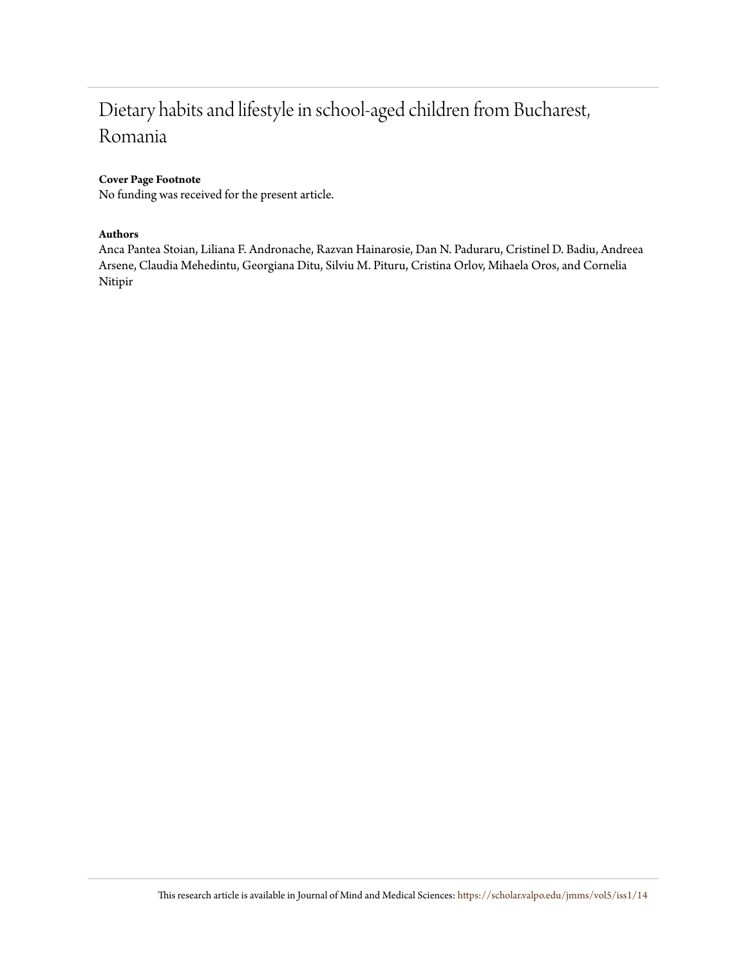# Dietary habits and lifestyle in school-aged children from Bucharest, Romania

### **Cover Page Footnote**

No funding was received for the present article.

### **Authors**

Anca Pantea Stoian, Liliana F. Andronache, Razvan Hainarosie, Dan N. Paduraru, Cristinel D. Badiu, Andreea Arsene, Claudia Mehedintu, Georgiana Ditu, Silviu M. Pituru, Cristina Orlov, Mihaela Oros, and Cornelia Nitipir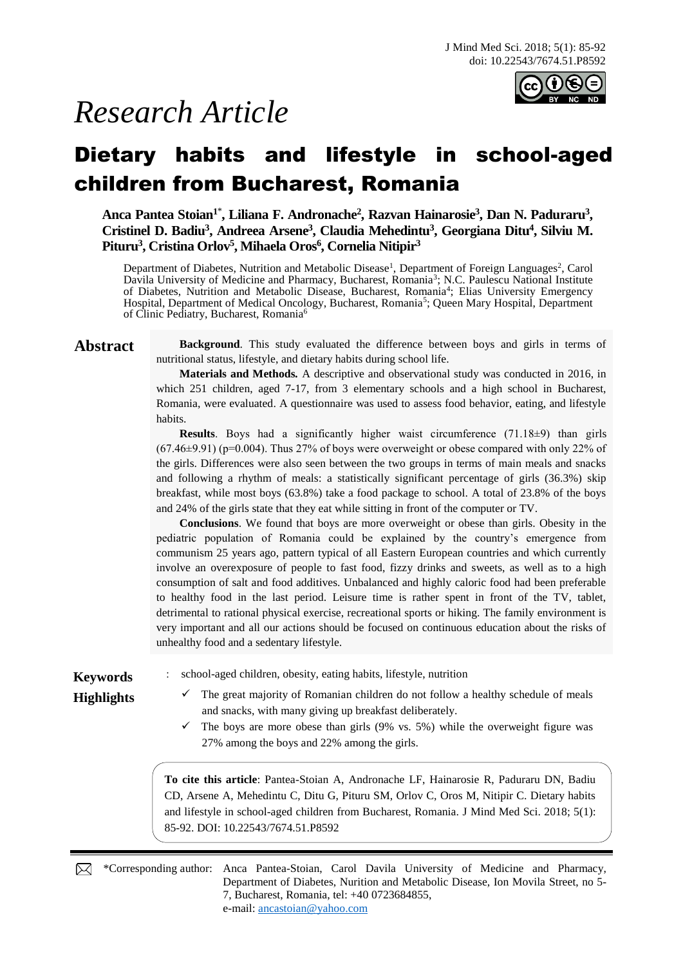

# *Research Article*

# Dietary habits and lifestyle in school-aged children from Bucharest, Romania

**Anca Pantea Stoian<sup>1</sup>**\* **, Liliana F. Andronache<sup>2</sup> , Razvan Hainarosie<sup>3</sup> , Dan N. Paduraru<sup>3</sup> , Cristinel D. Badiu<sup>3</sup> , Andreea Arsene<sup>3</sup> , Claudia Mehedintu<sup>3</sup> , Georgiana Ditu<sup>4</sup> , Silviu M. Pituru<sup>3</sup> , Cristina Orlov<sup>5</sup> , Mihaela Oros<sup>6</sup> , Cornelia Nitipir<sup>3</sup>**

Department of Diabetes, Nutrition and Metabolic Disease<sup>1</sup>, Department of Foreign Languages<sup>2</sup>, Carol Davila University of Medicine and Pharmacy, Bucharest, Romania<sup>3</sup>; N.C. Paulescu National Institute of Diabetes, Nutrition and Metabolic Disease, Bucharest, Romania<sup>4</sup>; Elias University Emergency Hospital, Department of Medical Oncology, Bucharest, Romania<sup>5</sup>; Queen Mary Hospital, Department of Clinic Pediatry, Bucharest, Romania<sup>6</sup>

Abstract Background. This study evaluated the difference between boys and girls in terms of nutritional status, lifestyle, and dietary habits during school life.

> **Materials and Methods***.* A descriptive and observational study was conducted in 2016, in which 251 children, aged 7-17, from 3 elementary schools and a high school in Bucharest, Romania, were evaluated. A questionnaire was used to assess food behavior, eating, and lifestyle habits.

> **Results**. Boys had a significantly higher waist circumference (71.18±9) than girls (67.46±9.91) (p=0.004). Thus 27% of boys were overweight or obese compared with only 22% of the girls. Differences were also seen between the two groups in terms of main meals and snacks and following a rhythm of meals: a statistically significant percentage of girls (36.3%) skip breakfast, while most boys (63.8%) take a food package to school. A total of 23.8% of the boys and 24% of the girls state that they eat while sitting in front of the computer or TV.

> **Conclusions**. We found that boys are more overweight or obese than girls. Obesity in the pediatric population of Romania could be explained by the country's emergence from communism 25 years ago, pattern typical of all Eastern European countries and which currently involve an overexposure of people to fast food, fizzy drinks and sweets, as well as to a high consumption of salt and food additives. Unbalanced and highly caloric food had been preferable to healthy food in the last period. Leisure time is rather spent in front of the TV, tablet, detrimental to rational physical exercise, recreational sports or hiking. The family environment is very important and all our actions should be focused on continuous education about the risks of unhealthy food and a sedentary lifestyle.

- **Keywords** : school-aged children, obesity, eating habits, lifestyle, nutrition
- **Highlights** <del>✓</del> The great majority of Romanian children do not follow a healthy schedule of meals and snacks, with many giving up breakfast deliberately.
	- $\checkmark$  The boys are more obese than girls (9% vs. 5%) while the overweight figure was 27% among the boys and 22% among the girls.

**To cite this article**: Pantea-Stoian A, Andronache LF, Hainarosie R, Paduraru DN, Badiu CD, Arsene A, Mehedintu C, Ditu G, Pituru SM, Orlov C, Oros M, Nitipir C. Dietary habits and lifestyle in school-aged children from Bucharest, Romania. J Mind Med Sci. 2018; 5(1): 85-92. DOI: 10.22543/7674.51.P8592

\*Corresponding author: Anca Pantea-Stoian, Carol Davila University of Medicine and Pharmacy, Department of Diabetes, Nurition and Metabolic Disease, Ion Movila Street, no 5- 7, Bucharest, Romania, tel: +40 0723684855, e-mail: [ancastoian@yahoo.com](mailto:ancastoian@yahoo.com)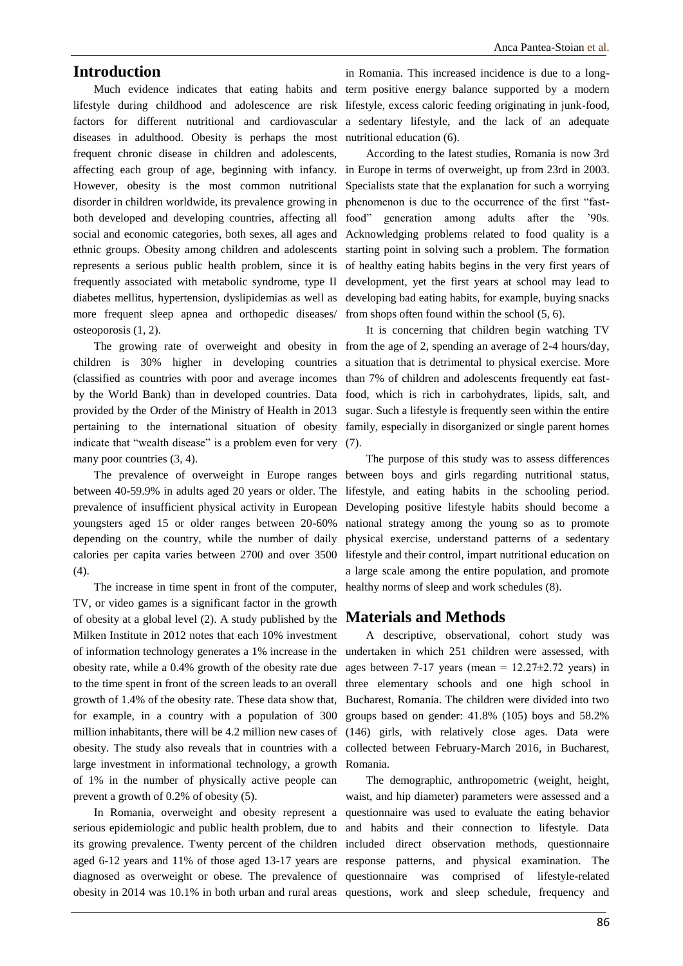### **Introduction**

lifestyle during childhood and adolescence are risk factors for different nutritional and cardiovascular diseases in adulthood. Obesity is perhaps the most frequent chronic disease in children and adolescents, However, obesity is the most common nutritional disorder in children worldwide, its prevalence growing in both developed and developing countries, affecting all social and economic categories, both sexes, all ages and ethnic groups. Obesity among children and adolescents represents a serious public health problem, since it is frequently associated with metabolic syndrome, type II diabetes mellitus, hypertension, dyslipidemias as well as more frequent sleep apnea and orthopedic diseases/ osteoporosis (1, 2).

children is 30% higher in developing countries a situation that is detrimental to physical exercise. More (classified as countries with poor and average incomes than 7% of children and adolescents frequently eat fastby the World Bank) than in developed countries. Data food, which is rich in carbohydrates, lipids, salt, and provided by the Order of the Ministry of Health in 2013 sugar. Such a lifestyle is frequently seen within the entire pertaining to the international situation of obesity family, especially in disorganized or single parent homes indicate that "wealth disease" is a problem even for very (7). many poor countries  $(3, 4)$ .

youngsters aged 15 or older ranges between 20-60% depending on the country, while the number of daily calories per capita varies between 2700 and over 3500 (4).

The increase in time spent in front of the computer, TV, or video games is a significant factor in the growth of obesity at a global level (2). A study published by the Milken Institute in 2012 notes that each 10% investment of information technology generates a 1% increase in the obesity rate, while a 0.4% growth of the obesity rate due to the time spent in front of the screen leads to an overall growth of 1.4% of the obesity rate. These data show that, for example, in a country with a population of 300 million inhabitants, there will be 4.2 million new cases of obesity. The study also reveals that in countries with a large investment in informational technology, a growth Romania. of 1% in the number of physically active people can prevent a growth of 0.2% of obesity (5).

In Romania, overweight and obesity represent a diagnosed as overweight or obese. The prevalence of questionnaire obesity in 2014 was 10.1% in both urban and rural areas questions, work and sleep schedule, frequency and

Much evidence indicates that eating habits and term positive energy balance supported by a modern in Romania. This increased incidence is due to a longlifestyle, excess caloric feeding originating in junk-food, a sedentary lifestyle, and the lack of an adequate nutritional education (6).

affecting each group of age, beginning with infancy. in Europe in terms of overweight, up from 23rd in 2003. According to the latest studies, Romania is now 3rd Specialists state that the explanation for such a worrying phenomenon is due to the occurrence of the first "fastfood" generation among adults after the '90s. Acknowledging problems related to food quality is a starting point in solving such a problem. The formation of healthy eating habits begins in the very first years of development, yet the first years at school may lead to developing bad eating habits, for example, buying snacks from shops often found within the school (5, 6).

The growing rate of overweight and obesity in from the age of 2, spending an average of 2-4 hours/day, It is concerning that children begin watching TV

The prevalence of overweight in Europe ranges between boys and girls regarding nutritional status, between 40-59.9% in adults aged 20 years or older. The lifestyle, and eating habits in the schooling period. prevalence of insufficient physical activity in European Developing positive lifestyle habits should become a The purpose of this study was to assess differences national strategy among the young so as to promote physical exercise, understand patterns of a sedentary lifestyle and their control, impart nutritional education on a large scale among the entire population, and promote healthy norms of sleep and work schedules (8).

### **Materials and Methods**

A descriptive, observational, cohort study was undertaken in which 251 children were assessed, with ages between 7-17 years (mean =  $12.27 \pm 2.72$  years) in three elementary schools and one high school in Bucharest, Romania. The children were divided into two groups based on gender: 41.8% (105) boys and 58.2% (146) girls, with relatively close ages. Data were collected between February-March 2016, in Bucharest,

serious epidemiologic and public health problem, due to and habits and their connection to lifestyle. Data its growing prevalence. Twenty percent of the children included direct observation methods, questionnaire aged 6-12 years and 11% of those aged 13-17 years are response patterns, and physical examination. The The demographic, anthropometric (weight, height, waist, and hip diameter) parameters were assessed and a questionnaire was used to evaluate the eating behavior was comprised of lifestyle-related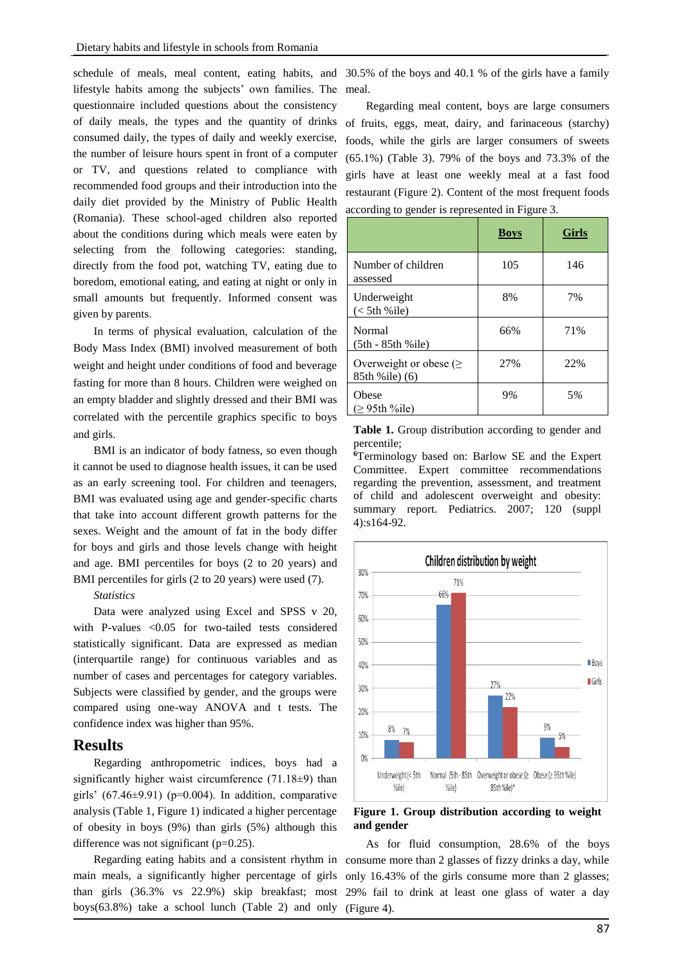schedule of meals, meal content, eating habits, and 30.5% of the boys and 40.1 % of the girls have a family lifestyle habits among the subjects' own families. The questionnaire included questions about the consistency of daily meals, the types and the quantity of drinks consumed daily, the types of daily and weekly exercise, the number of leisure hours spent in front of a computer or TV, and questions related to compliance with recommended food groups and their introduction into the daily diet provided by the Ministry of Public Health (Romania). These school-aged children also reported about the conditions during which meals were eaten by selecting from the following categories: standing, directly from the food pot, watching TV, eating due to boredom, emotional eating, and eating at night or only in small amounts but frequently. Informed consent was given by parents.

In terms of physical evaluation, calculation of the Body Mass Index (BMI) involved measurement of both weight and height under conditions of food and beverage fasting for more than 8 hours. Children were weighed on an empty bladder and slightly dressed and their BMI was correlated with the percentile graphics specific to boys and girls.

BMI is an indicator of body fatness, so even though it cannot be used to diagnose health issues, it can be used as an early screening tool. For children and teenagers, BMI was evaluated using age and gender-specific charts that take into account different growth patterns for the sexes. Weight and the amount of fat in the body differ for boys and girls and those levels change with height and age. BMI percentiles for boys (2 to 20 years) and BMI percentiles for girls (2 to 20 years) were used (7).

### *Statistics*

Data were analyzed using Excel and SPSS v 20, with P-values <0.05 for two-tailed tests considered statistically significant. Data are expressed as median (interquartile range) for continuous variables and as number of cases and percentages for category variables. Subjects were classified by gender, and the groups were compared using one-way ANOVA and t tests. The confidence index was higher than 95%.

### **Results**

Regarding anthropometric indices, boys had a significantly higher waist circumference (71.18±9) than girls' (67.46 $\pm$ 9.91) (p=0.004). In addition, comparative analysis (Table 1, Figure 1) indicated a higher percentage of obesity in boys (9%) than girls (5%) although this difference was not significant  $(p=0.25)$ .

main meals, a significantly higher percentage of girls than girls (36.3% vs 22.9%) skip breakfast; most boys(63.8%) take a school lunch (Table 2) and only (Figure 4).

meal.

Regarding meal content, boys are large consumers of fruits, eggs, meat, dairy, and farinaceous (starchy) foods, while the girls are larger consumers of sweets (65.1%) (Table 3). 79% of the boys and 73.3% of the girls have at least one weekly meal at a fast food restaurant (Figure 2). Content of the most frequent foods according to gender is represented in Figure 3.

|                                                | <b>Boys</b> | <b>Girls</b> |
|------------------------------------------------|-------------|--------------|
| Number of children<br>assessed                 | 105         | 146          |
| Underweight<br>$(< 5th$ %ile)                  | 8%          | 7%           |
| <b>Normal</b><br>$(5th - 85th % ile)$          | 66%         | 71%          |
| Overweight or obese ( $\geq$<br>85th %ile) (6) | 27%         | 22%          |
| Obese<br>$\geq$ 95th %ile)                     | 9%          | 5%           |

**Table 1.** Group distribution according to gender and percentile;

**<sup>6</sup>**Terminology based on: Barlow SE and the Expert Committee. Expert committee recommendations regarding the prevention, assessment, and treatment of child and adolescent overweight and obesity: summary report. Pediatrics. 2007; 120 (suppl 4):s164-92.



**Figure 1. Group distribution according to weight and gender**

Regarding eating habits and a consistent rhythm in consume more than 2 glasses of fizzy drinks a day, while As for fluid consumption, 28.6% of the boys only 16.43% of the girls consume more than 2 glasses; 29% fail to drink at least one glass of water a day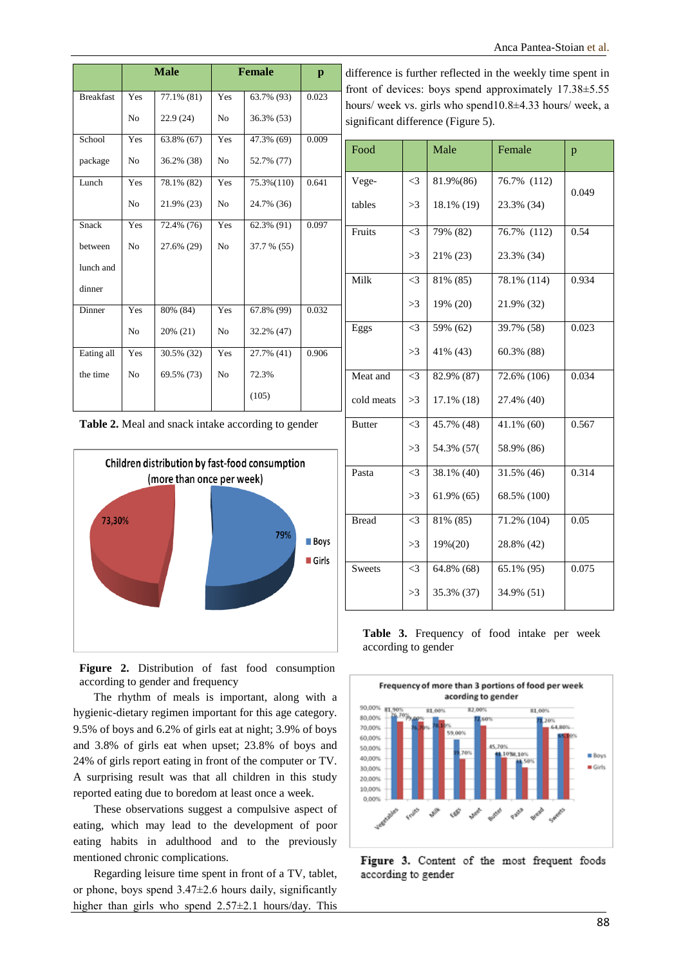|                      |                | <b>Male</b> |                | <b>Female</b> | $\mathbf{p}$ | difference is further reflected in the weekly time spent in<br>front of devices: boys spend approximately $17.38 \pm 5.55$ |          |               |               |              |
|----------------------|----------------|-------------|----------------|---------------|--------------|----------------------------------------------------------------------------------------------------------------------------|----------|---------------|---------------|--------------|
| <b>Breakfast</b>     | Yes            | 77.1% (81)  | Yes            | 63.7% (93)    | 0.023        | hours/ week vs. girls who spend10.8±4.33 hours/ week, a                                                                    |          |               |               |              |
|                      | N <sub>o</sub> | 22.9(24)    | N <sub>0</sub> | 36.3% (53)    |              | significant difference (Figure 5).                                                                                         |          |               |               |              |
| School               | Yes            | 63.8% (67)  | Yes            | 47.3% (69)    | 0.009        | Food                                                                                                                       |          | Male          | Female        |              |
| package              | N <sub>o</sub> | 36.2% (38)  | N <sub>0</sub> | 52.7% (77)    |              |                                                                                                                            |          |               |               | $\mathbf{p}$ |
| Lunch                | Yes            | 78.1% (82)  | Yes            | 75.3%(110)    | 0.641        | Vege-                                                                                                                      | $\leq$ 3 | 81.9%(86)     | 76.7% (112)   |              |
|                      | N <sub>0</sub> | 21.9% (23)  | N <sub>0</sub> | 24.7% (36)    |              | tables                                                                                                                     | >3       | 18.1% (19)    | 23.3% (34)    | 0.049        |
| Snack                | Yes            | 72.4% (76)  | Yes            | 62.3% (91)    | 0.097        | Fruits                                                                                                                     | $\leq$ 3 | 79% (82)      | 76.7% (112)   | 0.54         |
| between<br>lunch and | N <sub>o</sub> | 27.6% (29)  | N <sub>o</sub> | 37.7 % (55)   |              |                                                                                                                            | >3       | 21% (23)      | 23.3% (34)    |              |
| dinner               |                |             |                |               |              | Milk                                                                                                                       | $\leq$ 3 | 81% (85)      | 78.1% (114)   | 0.934        |
| Dinner               | Yes            | 80% (84)    | Yes            | 67.8% (99)    | 0.032        |                                                                                                                            | >3       | 19% (20)      | 21.9% (32)    |              |
|                      | N <sub>o</sub> | 20% (21)    | N <sub>0</sub> | 32.2% (47)    |              | Eggs                                                                                                                       | $\leq$ 3 | 59% (62)      | 39.7% (58)    | 0.023        |
| Eating all           | Yes            | 30.5% (32)  | Yes            | 27.7% (41)    | 0.906        |                                                                                                                            | >3       | 41\% (43)     | $60.3\%$ (88) |              |
| the time             | N <sub>0</sub> | 69.5% (73)  | N <sub>0</sub> | 72.3%         |              | Meat and                                                                                                                   | $\leq$ 3 | 82.9% (87)    | 72.6% (106)   | 0.034        |
|                      |                |             |                | (105)         |              | cold meats                                                                                                                 | >3       | $17.1\%$ (18) | 27.4% (40)    |              |
|                      |                |             |                |               |              |                                                                                                                            |          |               |               |              |





|               |          |             |               | 0.049 |
|---------------|----------|-------------|---------------|-------|
| tables        | >3       | 18.1\% (19) | 23.3% (34)    |       |
| Fruits        | $\leq$ 3 | 79% (82)    | 76.7% (112)   | 0.54  |
|               |          |             |               |       |
|               | >3       | 21% (23)    | 23.3% (34)    |       |
| Milk          | $\leq$ 3 | 81% (85)    | 78.1% (114)   | 0.934 |
|               | >3       | 19% (20)    | 21.9% (32)    |       |
|               |          |             |               |       |
| Eggs          | $\leq$ 3 | 59% (62)    | 39.7% (58)    | 0.023 |
|               | >3       | 41% (43)    | 60.3% (88)    |       |
|               |          |             |               |       |
| Meat and      | $\leq$ 3 | 82.9% (87)  | 72.6% (106)   | 0.034 |
| cold meats    | >3       | 17.1% (18)  | 27.4% (40)    |       |
|               |          |             |               |       |
| <b>Butter</b> | $\leq$ 3 | 45.7% (48)  | $41.1\%$ (60) | 0.567 |
|               | >3       | 54.3% (57(  | 58.9% (86)    |       |
|               |          |             |               |       |
| Pasta         | $\leq$ 3 | 38.1% (40)  | 31.5% (46)    | 0.314 |
|               | >3       | 61.9% (65)  | 68.5% (100)   |       |
| <b>Bread</b>  |          |             |               | 0.05  |
|               | $\leq$ 3 | 81% (85)    | 71.2% (104)   |       |
|               | >3       | 19%(20)     | 28.8% (42)    |       |
| <b>Sweets</b> | $\leq$ 3 | 64.8% (68)  | 65.1% (95)    | 0.075 |
|               |          |             |               |       |
|               | >3       | 35.3% (37)  | 34.9% (51)    |       |
|               |          |             |               |       |

**Figure 2.** Distribution of fast food consumption according to gender and frequency

The rhythm of meals is important, along with a hygienic-dietary regimen important for this age category. 9.5% of boys and 6.2% of girls eat at night; 3.9% of boys and 3.8% of girls eat when upset; 23.8% of boys and 24% of girls report eating in front of the computer or TV. A surprising result was that all children in this study reported eating due to boredom at least once a week.

These observations suggest a compulsive aspect of eating, which may lead to the development of poor eating habits in adulthood and to the previously mentioned chronic complications.

Regarding leisure time spent in front of a TV, tablet, or phone, boys spend  $3.47\pm2.6$  hours daily, significantly higher than girls who spend 2.57±2.1 hours/day. This

**Table 3.** Frequency of food intake per week according to gender



Figure 3. Content of the most frequent foods according to gender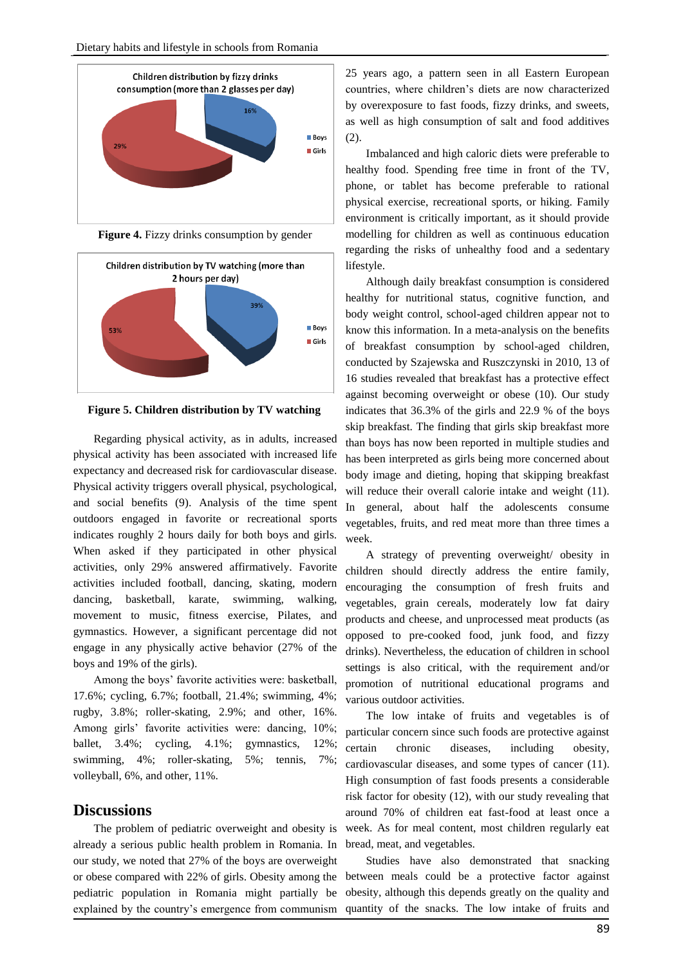

**Figure 4.** Fizzy drinks consumption by gender



**Figure 5. Children distribution by TV watching**

Regarding physical activity, as in adults, increased physical activity has been associated with increased life expectancy and decreased risk for cardiovascular disease. Physical activity triggers overall physical, psychological, and social benefits (9). Analysis of the time spent outdoors engaged in favorite or recreational sports indicates roughly 2 hours daily for both boys and girls. When asked if they participated in other physical activities, only 29% answered affirmatively. Favorite activities included football, dancing, skating, modern dancing, basketball, karate, swimming, walking, movement to music, fitness exercise, Pilates, and gymnastics. However, a significant percentage did not engage in any physically active behavior (27% of the boys and 19% of the girls).

Among the boys' favorite activities were: basketball, 17.6%; cycling, 6.7%; football, 21.4%; swimming, 4%; rugby, 3.8%; roller-skating, 2.9%; and other, 16%. Among girls' favorite activities were: dancing, 10%; ballet, 3.4%; cycling, 4.1%; gymnastics, 12%; swimming, 4%; roller-skating, 5%; tennis, 7%; volleyball, 6%, and other, 11%.

### **Discussions**

The problem of pediatric overweight and obesity is already a serious public health problem in Romania. In our study, we noted that 27% of the boys are overweight or obese compared with 22% of girls. Obesity among the pediatric population in Romania might partially be explained by the country's emergence from communism

25 years ago, a pattern seen in all Eastern European countries, where children's diets are now characterized by overexposure to fast foods, fizzy drinks, and sweets, as well as high consumption of salt and food additives (2).

Imbalanced and high caloric diets were preferable to healthy food. Spending free time in front of the TV, phone, or tablet has become preferable to rational physical exercise, recreational sports, or hiking. Family environment is critically important, as it should provide modelling for children as well as continuous education regarding the risks of unhealthy food and a sedentary lifestyle.

Although daily breakfast consumption is considered healthy for nutritional status, cognitive function, and body weight control, school-aged children appear not to know this information. In a meta-analysis on the benefits of breakfast consumption by school-aged children, conducted by Szajewska and Ruszczynski in 2010, 13 of 16 studies revealed that breakfast has a protective effect against becoming overweight or obese (10). Our study indicates that 36.3% of the girls and 22.9 % of the boys skip breakfast. The finding that girls skip breakfast more than boys has now been reported in multiple studies and has been interpreted as girls being more concerned about body image and dieting, hoping that skipping breakfast will reduce their overall calorie intake and weight (11). In general, about half the adolescents consume vegetables, fruits, and red meat more than three times a week.

A strategy of preventing overweight/ obesity in children should directly address the entire family, encouraging the consumption of fresh fruits and vegetables, grain cereals, moderately low fat dairy products and cheese, and unprocessed meat products (as opposed to pre-cooked food, junk food, and fizzy drinks). Nevertheless, the education of children in school settings is also critical, with the requirement and/or promotion of nutritional educational programs and various outdoor activities.

The low intake of fruits and vegetables is of particular concern since such foods are protective against certain chronic diseases, including obesity, cardiovascular diseases, and some types of cancer (11). High consumption of fast foods presents a considerable risk factor for obesity (12), with our study revealing that around 70% of children eat fast-food at least once a week. As for meal content, most children regularly eat bread, meat, and vegetables.

Studies have also demonstrated that snacking between meals could be a protective factor against obesity, although this depends greatly on the quality and quantity of the snacks. The low intake of fruits and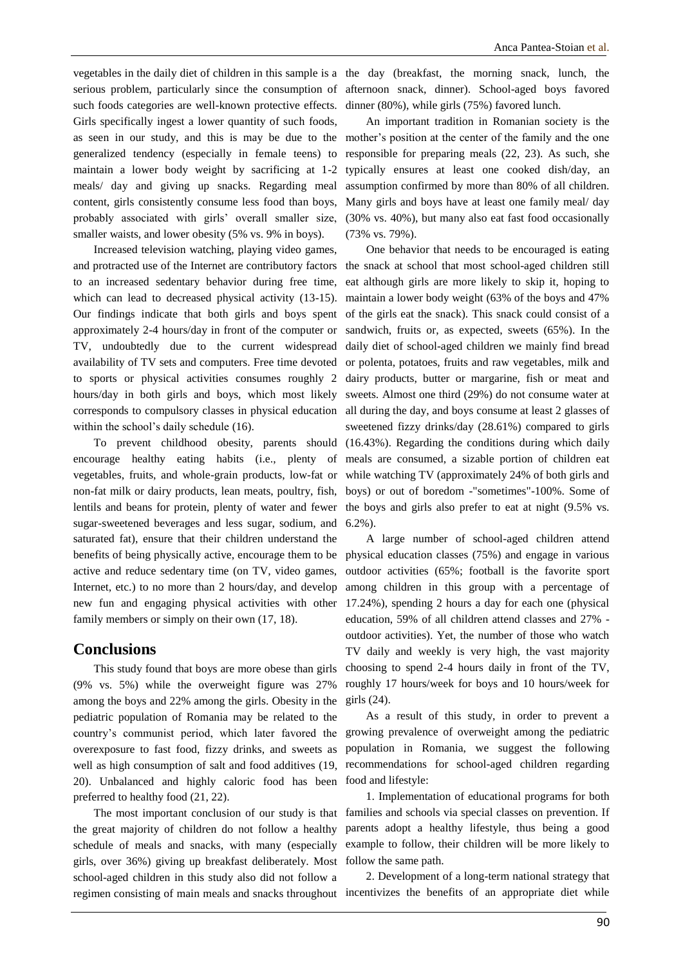serious problem, particularly since the consumption of such foods categories are well-known protective effects. Girls specifically ingest a lower quantity of such foods, as seen in our study, and this is may be due to the generalized tendency (especially in female teens) to maintain a lower body weight by sacrificing at 1-2 meals/ day and giving up snacks. Regarding meal content, girls consistently consume less food than boys, probably associated with girls' overall smaller size, smaller waists, and lower obesity (5% vs. 9% in boys).

Increased television watching, playing video games, and protracted use of the Internet are contributory factors to an increased sedentary behavior during free time, which can lead to decreased physical activity (13-15). Our findings indicate that both girls and boys spent approximately 2-4 hours/day in front of the computer or TV, undoubtedly due to the current widespread availability of TV sets and computers. Free time devoted to sports or physical activities consumes roughly 2 corresponds to compulsory classes in physical education within the school's daily schedule (16).

sugar-sweetened beverages and less sugar, sodium, and saturated fat), ensure that their children understand the active and reduce sedentary time (on TV, video games, Internet, etc.) to no more than 2 hours/day, and develop new fun and engaging physical activities with other family members or simply on their own (17, 18).

### **Conclusions**

This study found that boys are more obese than girls (9% vs. 5%) while the overweight figure was 27% among the boys and 22% among the girls. Obesity in the pediatric population of Romania may be related to the country's communist period, which later favored the overexposure to fast food, fizzy drinks, and sweets as well as high consumption of salt and food additives (19, 20). Unbalanced and highly caloric food has been food and lifestyle: preferred to healthy food (21, 22).

the great majority of children do not follow a healthy schedule of meals and snacks, with many (especially girls, over 36%) giving up breakfast deliberately. Most school-aged children in this study also did not follow a regimen consisting of main meals and snacks throughout incentivizes the benefits of an appropriate diet while

vegetables in the daily diet of children in this sample is a the day (breakfast, the morning snack, lunch, the afternoon snack, dinner). School-aged boys favored dinner (80%), while girls (75%) favored lunch.

> An important tradition in Romanian society is the mother's position at the center of the family and the one responsible for preparing meals (22, 23). As such, she typically ensures at least one cooked dish/day, an assumption confirmed by more than 80% of all children. Many girls and boys have at least one family meal/ day (30% vs. 40%), but many also eat fast food occasionally (73% vs. 79%).

hours/day in both girls and boys, which most likely sweets. Almost one third (29%) do not consume water at To prevent childhood obesity, parents should (16.43%). Regarding the conditions during which daily encourage healthy eating habits (i.e., plenty of meals are consumed, a sizable portion of children eat vegetables, fruits, and whole-grain products, low-fat or while watching TV (approximately 24% of both girls and non-fat milk or dairy products, lean meats, poultry, fish, boys) or out of boredom -"sometimes"-100%. Some of lentils and beans for protein, plenty of water and fewer the boys and girls also prefer to eat at night (9.5% vs. One behavior that needs to be encouraged is eating the snack at school that most school-aged children still eat although girls are more likely to skip it, hoping to maintain a lower body weight (63% of the boys and 47% of the girls eat the snack). This snack could consist of a sandwich, fruits or, as expected, sweets (65%). In the daily diet of school-aged children we mainly find bread or polenta, potatoes, fruits and raw vegetables, milk and dairy products, butter or margarine, fish or meat and all during the day, and boys consume at least 2 glasses of sweetened fizzy drinks/day (28.61%) compared to girls 6.2%).

benefits of being physically active, encourage them to be physical education classes (75%) and engage in various A large number of school-aged children attend outdoor activities (65%; football is the favorite sport among children in this group with a percentage of 17.24%), spending 2 hours a day for each one (physical education, 59% of all children attend classes and 27% outdoor activities). Yet, the number of those who watch TV daily and weekly is very high, the vast majority choosing to spend 2-4 hours daily in front of the TV, roughly 17 hours/week for boys and 10 hours/week for girls (24).

> As a result of this study, in order to prevent a growing prevalence of overweight among the pediatric population in Romania, we suggest the following recommendations for school-aged children regarding

The most important conclusion of our study is that families and schools via special classes on prevention. If 1. Implementation of educational programs for both parents adopt a healthy lifestyle, thus being a good example to follow, their children will be more likely to follow the same path.

2. Development of a long-term national strategy that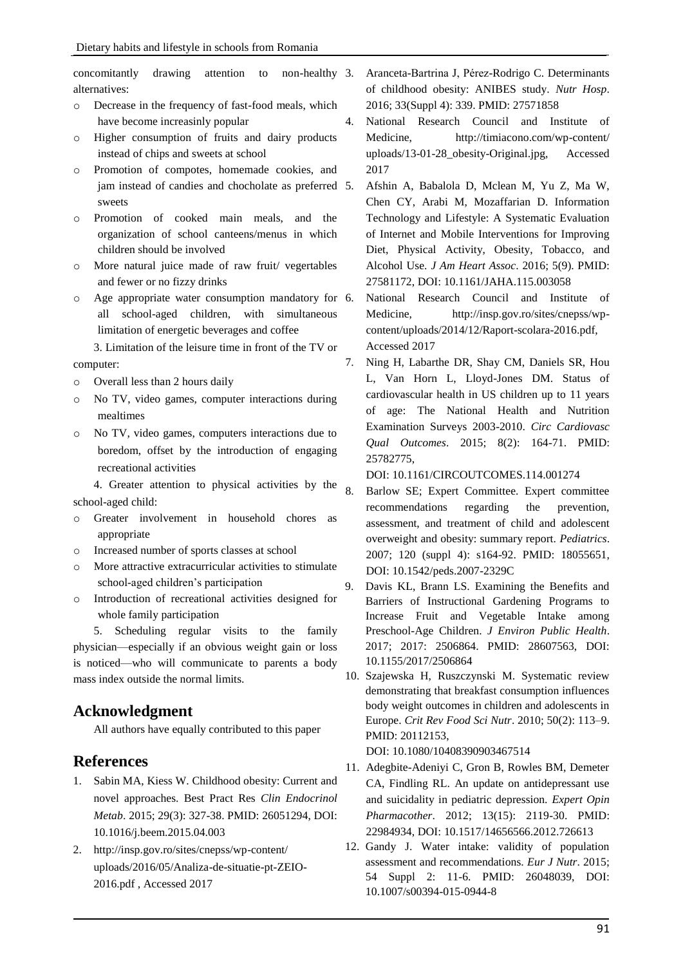concomitantly drawing attention to non-healthy alternatives:

- o Decrease in the frequency of fast-food meals, which have become increasinly popular
- Higher consumption of fruits and dairy products instead of chips and sweets at school
- o Promotion of compotes, homemade cookies, and jam instead of candies and chocholate as preferred 5. sweets
- o Promotion of cooked main meals, and the organization of school canteens/menus in which children should be involved
- o More natural juice made of raw fruit/ vegertables and fewer or no fizzy drinks
- o Age appropriate water consumption mandatory for all school-aged children, with simultaneous limitation of energetic beverages and coffee

3. Limitation of the leisure time in front of the TV or computer:

- o Overall less than 2 hours daily
- o No TV, video games, computer interactions during mealtimes
- o No TV, video games, computers interactions due to boredom, offset by the introduction of engaging recreational activities

4. Greater attention to physical activities by the school-aged child:

- o Greater involvement in household chores as appropriate
- o Increased number of sports classes at school
- o More attractive extracurricular activities to stimulate school-aged children's participation
- o Introduction of recreational activities designed for whole family participation

5. Scheduling regular visits to the family physician—especially if an obvious weight gain or loss is noticed—who will communicate to parents a body mass index outside the normal limits.

### **Acknowledgment**

All authors have equally contributed to this paper

### **References**

- 1. Sabin MA, Kiess W. Childhood obesity: Current and novel approaches. Best Pract Res *Clin Endocrinol Metab*. 2015; 29(3): 327-38. PMID: 26051294, DOI: 10.1016/j.beem.2015.04.003
- 2. http://insp.gov.ro/sites/cnepss/wp-content/ uploads/2016/05/Analiza-de-situatie-pt-ZEIO-2016.pdf , Accessed 2017
- 3. Aranceta-Bartrina J, Pérez-Rodrigo C. Determinants of childhood obesity: ANIBES study. *Nutr Hosp*. 2016; 33(Suppl 4): 339. PMID: 27571858
- 4. National Research Council and Institute of Medicine, http://timiacono.com/wp-content/ uploads/13-01-28\_obesity-Original.jpg, Accessed 2017
	- 5. Afshin A, Babalola D, Mclean M, Yu Z, Ma W, Chen CY, Arabi M, Mozaffarian D. Information Technology and Lifestyle: A Systematic Evaluation of Internet and Mobile Interventions for Improving Diet, Physical Activity, Obesity, Tobacco, and Alcohol Use. *J Am Heart Assoc*. 2016; 5(9). PMID: 27581172, DOI: 10.1161/JAHA.115.003058
	- 6. National Research Council and Institute of Medicine, http://insp.gov.ro/sites/cnepss/wpcontent/uploads/2014/12/Raport-scolara-2016.pdf, Accessed 2017
- 7. Ning H, Labarthe DR, Shay CM, Daniels SR, Hou L, Van Horn L, Lloyd-Jones DM. Status of cardiovascular health in US children up to 11 years of age: The National Health and Nutrition Examination Surveys 2003-2010. *Circ Cardiovasc Qual Outcomes*. 2015; 8(2): 164-71. PMID: 25782775,

DOI: 10.1161/CIRCOUTCOMES.114.001274

- 8. Barlow SE; Expert Committee. Expert committee recommendations regarding the prevention, assessment, and treatment of child and adolescent overweight and obesity: summary report. *Pediatrics*. 2007; 120 (suppl 4): s164-92. PMID: 18055651, DOI: 10.1542/peds.2007-2329C
- 9. Davis KL, Brann LS. Examining the Benefits and Barriers of Instructional Gardening Programs to Increase Fruit and Vegetable Intake among Preschool-Age Children. *J Environ Public Health*. 2017; 2017: 2506864. PMID: 28607563, DOI: 10.1155/2017/2506864
- 10. Szajewska H, Ruszczynski M. Systematic review demonstrating that breakfast consumption influences body weight outcomes in children and adolescents in Europe. *Crit Rev Food Sci Nutr*. 2010; 50(2): 113–9. PMID: 20112153,

DOI: 10.1080/10408390903467514

- 11. Adegbite-Adeniyi C, Gron B, Rowles BM, Demeter CA, Findling RL. An update on antidepressant use and suicidality in pediatric depression. *Expert Opin Pharmacother*. 2012; 13(15): 2119-30. PMID: 22984934, DOI: 10.1517/14656566.2012.726613
- 12. Gandy J. Water intake: validity of population assessment and recommendations. *Eur J Nutr*. 2015; 54 Suppl 2: 11-6. PMID: 26048039, DOI: 10.1007/s00394-015-0944-8